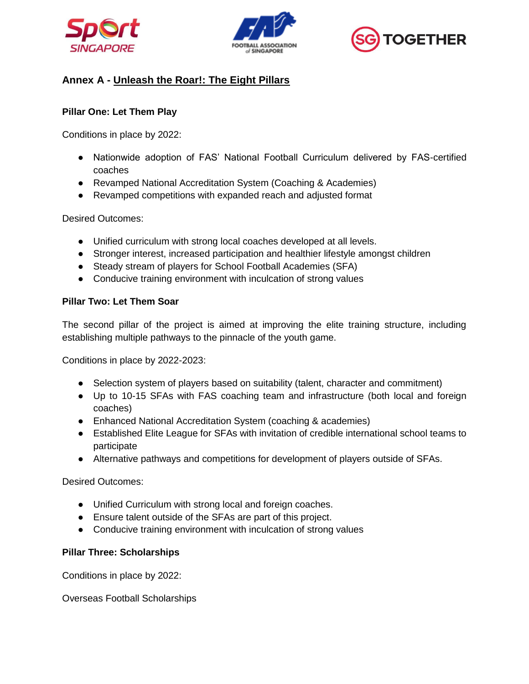





# **Annex A - Unleash the Roar!: The Eight Pillars**

## **Pillar One: Let Them Play**

Conditions in place by 2022:

- Nationwide adoption of FAS' National Football Curriculum delivered by FAS-certified coaches
- Revamped National Accreditation System (Coaching & Academies)
- Revamped competitions with expanded reach and adjusted format

Desired Outcomes:

- Unified curriculum with strong local coaches developed at all levels.
- Stronger interest, increased participation and healthier lifestyle amongst children
- Steady stream of players for School Football Academies (SFA)
- Conducive training environment with inculcation of strong values

# **Pillar Two: Let Them Soar**

The second pillar of the project is aimed at improving the elite training structure, including establishing multiple pathways to the pinnacle of the youth game.

Conditions in place by 2022-2023:

- Selection system of players based on suitability (talent, character and commitment)
- Up to 10-15 SFAs with FAS coaching team and infrastructure (both local and foreign coaches)
- Enhanced National Accreditation System (coaching & academies)
- Established Elite League for SFAs with invitation of credible international school teams to participate
- Alternative pathways and competitions for development of players outside of SFAs.

Desired Outcomes:

- Unified Curriculum with strong local and foreign coaches.
- Ensure talent outside of the SFAs are part of this project.
- Conducive training environment with inculcation of strong values

# **Pillar Three: Scholarships**

Conditions in place by 2022:

Overseas Football Scholarships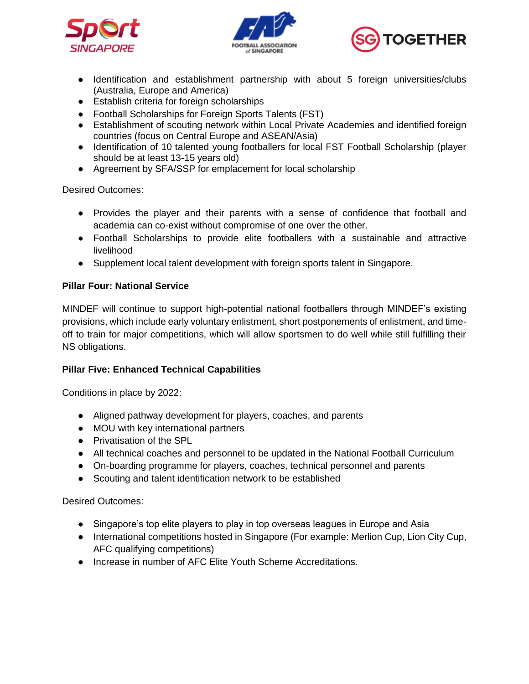





- Identification and establishment partnership with about 5 foreign universities/clubs (Australia, Europe and America)
- Establish criteria for foreign scholarships
- Football Scholarships for Foreign Sports Talents (FST)
- Establishment of scouting network within Local Private Academies and identified foreign countries (focus on Central Europe and ASEAN/Asia)
- Identification of 10 talented young footballers for local FST Football Scholarship (player should be at least 13-15 years old)
- Agreement by SFA/SSP for emplacement for local scholarship

Desired Outcomes:

- Provides the player and their parents with a sense of confidence that football and academia can co-exist without compromise of one over the other.
- Football Scholarships to provide elite footballers with a sustainable and attractive livelihood
- Supplement local talent development with foreign sports talent in Singapore.

#### **Pillar Four: National Service**

MINDEF will continue to support high-potential national footballers through MINDEF's existing provisions, which include early voluntary enlistment, short postponements of enlistment, and timeoff to train for major competitions, which will allow sportsmen to do well while still fulfilling their NS obligations.

#### **Pillar Five: Enhanced Technical Capabilities**

Conditions in place by 2022:

- Aligned pathway development for players, coaches, and parents
- MOU with key international partners
- Privatisation of the SPL
- All technical coaches and personnel to be updated in the National Football Curriculum
- On-boarding programme for players, coaches, technical personnel and parents
- Scouting and talent identification network to be established

Desired Outcomes:

- Singapore's top elite players to play in top overseas leagues in Europe and Asia
- International competitions hosted in Singapore (For example: Merlion Cup, Lion City Cup, AFC qualifying competitions)
- Increase in number of AFC Elite Youth Scheme Accreditations.